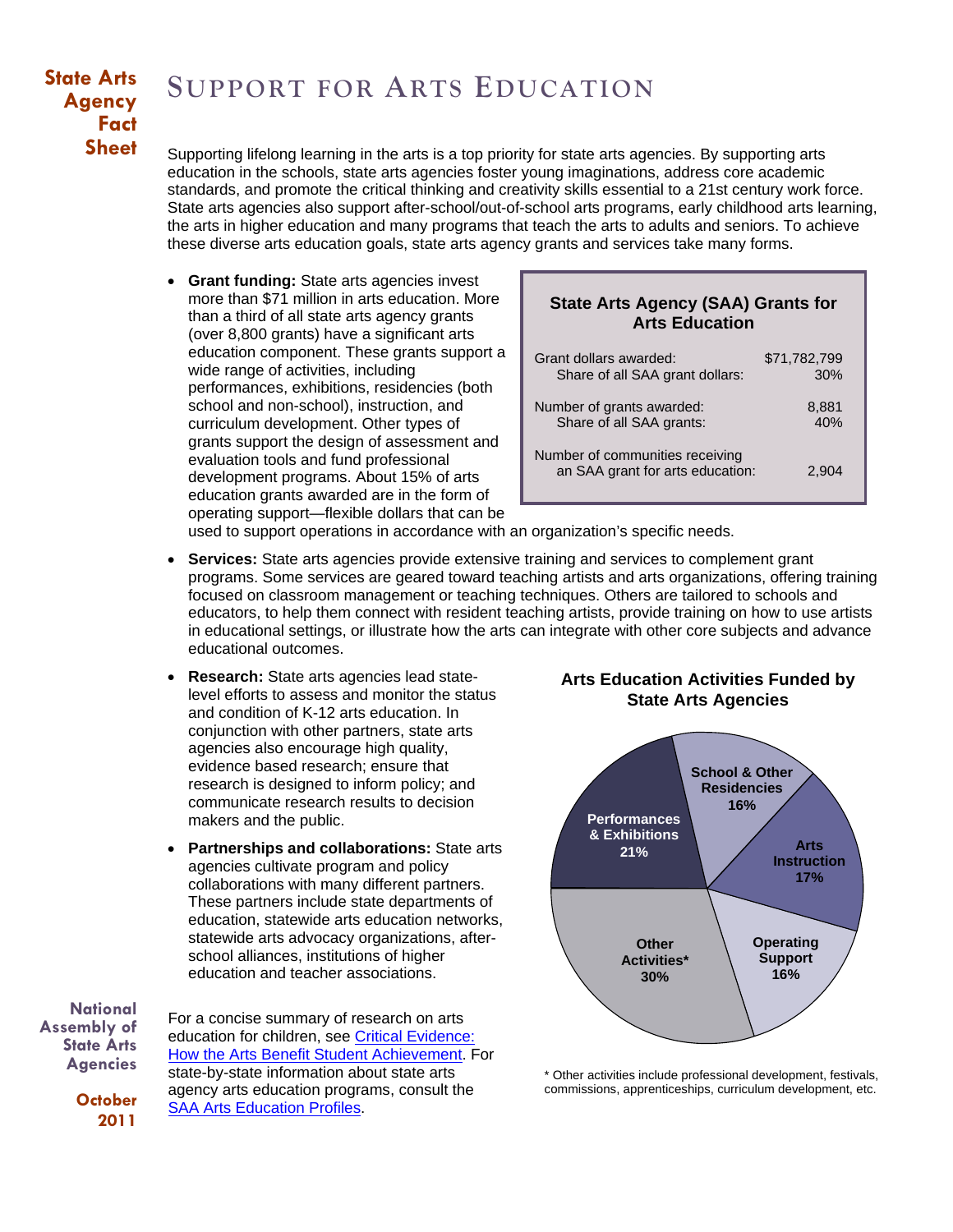## **State Arts Agency Fact Sheet**

# **SUPPORT FOR ARTS EDUCATION**

Supporting lifelong learning in the arts is a top priority for state arts agencies. By supporting arts education in the schools, state arts agencies foster young imaginations, address core academic standards, and promote the critical thinking and creativity skills essential to a 21st century work force. State arts agencies also support after-school/out-of-school arts programs, early childhood arts learning, the arts in higher education and many programs that teach the arts to adults and seniors. To achieve these diverse arts education goals, state arts agency grants and services take many forms.

• **Grant funding:** State arts agencies invest more than \$71 million in arts education. More than a third of all state arts agency grants (over 8,800 grants) have a significant arts education component. These grants support a wide range of activities, including performances, exhibitions, residencies (both school and non-school), instruction, and curriculum development. Other types of grants support the design of assessment and evaluation tools and fund professional development programs. About 15% of arts education grants awarded are in the form of operating support—flexible dollars that can be

### **State Arts Agency (SAA) Grants for Arts Education**

| Grant dollars awarded:                                              | \$71,782,799 |
|---------------------------------------------------------------------|--------------|
| Share of all SAA grant dollars:                                     | 30%          |
| Number of grants awarded:                                           | 8,881        |
| Share of all SAA grants:                                            | 40%          |
| Number of communities receiving<br>an SAA grant for arts education: | 2.904        |

used to support operations in accordance with an organization's specific needs.

- **Services:** State arts agencies provide extensive training and services to complement grant programs. Some services are geared toward teaching artists and arts organizations, offering training focused on classroom management or teaching techniques. Others are tailored to schools and educators, to help them connect with resident teaching artists, provide training on how to use artists in educational settings, or illustrate how the arts can integrate with other core subjects and advance educational outcomes.
- **Research:** State arts agencies lead statelevel efforts to assess and monitor the status and condition of K-12 arts education. In conjunction with other partners, state arts agencies also encourage high quality, evidence based research; ensure that research is designed to inform policy; and communicate research results to decision makers and the public.
- **Partnerships and collaborations:** State arts agencies cultivate program and policy collaborations with many different partners. These partners include state departments of education, statewide arts education networks, statewide arts advocacy organizations, afterschool alliances, institutions of higher education and teacher associations.

**National Assembly of State Arts Agencies**

> **October 2011**

For a concise summary of research on arts education for children, see [Critical Evidence:](http://www.nasaa-arts.org/publications/critical-evidence.shtml)  [How the Arts Benefit Student Achievement](http://www.nasaa-arts.org/publications/critical-evidence.shtml). For state-by-state information about state arts agency arts education programs, consult the [SAA Arts Education Profiles.](http://www.nasaa-arts.org/nasaanews/Arts-Education-Profiles)

#### **Arts Education Activities Funded by State Arts Agencies**



\* Other activities include professional development, festivals, commissions, apprenticeships, curriculum development, etc.